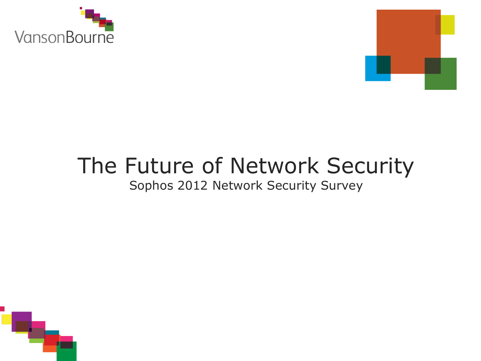



## The Future of Network Security Sophos 2012 Network Security Survey

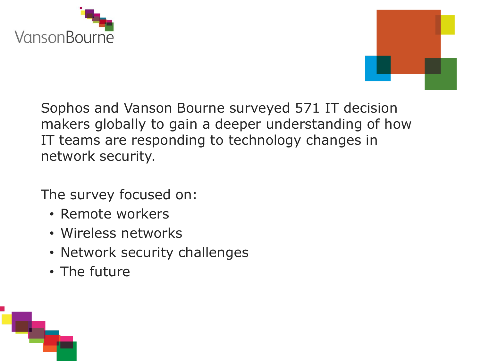



Sophos and Vanson Bourne surveyed 571 IT decision makers globally to gain a deeper understanding of how IT teams are responding to technology changes in network security.

The survey focused on:

- Remote workers
- Wireless networks
- Network security challenges
- The future

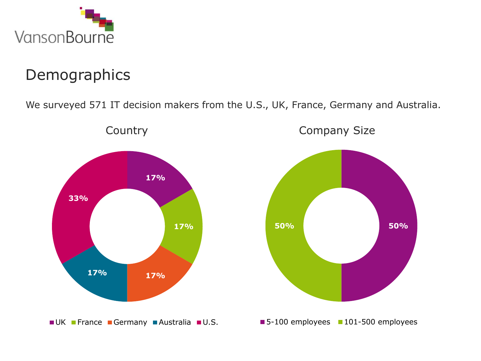

## Demographics

We surveyed 571 IT decision makers from the U.S., UK, France, Germany and Australia.

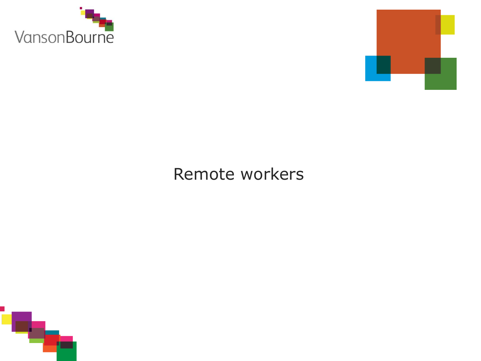



# Remote workers

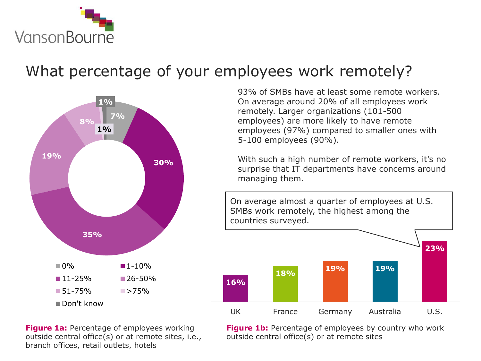

#### What percentage of your employees work remotely?



93% of SMBs have at least some remote workers. On average around 20% of all employees work remotely. Larger organizations (101-500 employees) are more likely to have remote employees (97%) compared to smaller ones with 5-100 employees (90%).

With such a high number of remote workers, it's no surprise that IT departments have concerns around managing them.

On average almost a quarter of employees at U.S. SMBs work remotely, the highest among the countries surveyed.



**Figure 1a:** Percentage of employees working outside central office(s) or at remote sites, i.e., branch offices, retail outlets, hotels

**Figure 1b:** Percentage of employees by country who work outside central office(s) or at remote sites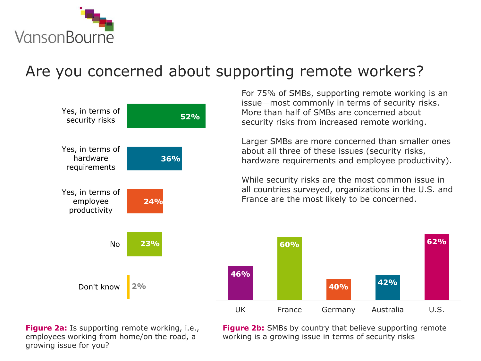

## Are you concerned about supporting remote workers?



For 75% of SMBs, supporting remote working is an issue—most commonly in terms of security risks. More than half of SMBs are concerned about security risks from increased remote working.

Larger SMBs are more concerned than smaller ones about all three of these issues (security risks, hardware requirements and employee productivity).

While security risks are the most common issue in all countries surveyed, organizations in the U.S. and France are the most likely to be concerned.



**Figure 2a:** Is supporting remote working, i.e., employees working from home/on the road, a growing issue for you?

**Figure 2b:** SMBs by country that believe supporting remote working is a growing issue in terms of security risks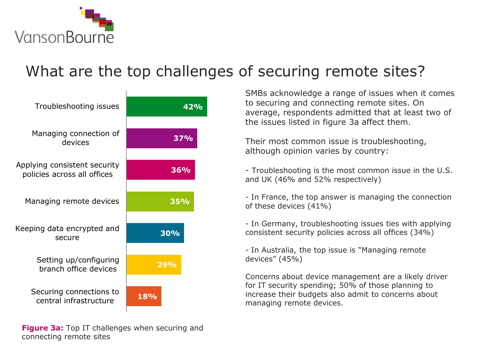

## What are the top challenges of securing remote sites?



**Figure 3a:** Top IT challenges when securing and connecting remote sites

SMBs acknowledge a range of issues when it comes to securing and connecting remote sites. On average, respondents admitted that at least two of the issues listed in figure 3a affect them.

Their most common issue is troubleshooting, although opinion varies by country:

- Troubleshooting is the most common issue in the U.S. and UK (46% and 52% respectively)

- In France, the top answer is managing the connection of these devices (41%)

- In Germany, troubleshooting issues ties with applying consistent security policies across all offices (34%)

- In Australia, the top issue is "Managing remote devices‖ (45%)

Concerns about device management are a likely driver for IT security spending; 50% of those planning to increase their budgets also admit to concerns about managing remote devices.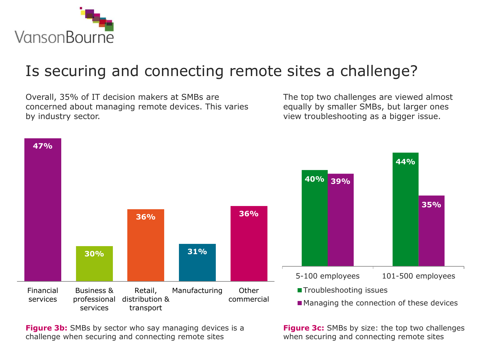

## Is securing and connecting remote sites a challenge?

Overall, 35% of IT decision makers at SMBs are concerned about managing remote devices. This varies by industry sector.

The top two challenges are viewed almost equally by smaller SMBs, but larger ones view troubleshooting as a bigger issue.



**Figure 3b:** SMBs by sector who say managing devices is a challenge when securing and connecting remote sites

**Figure 3c:** SMBs by size: the top two challenges when securing and connecting remote sites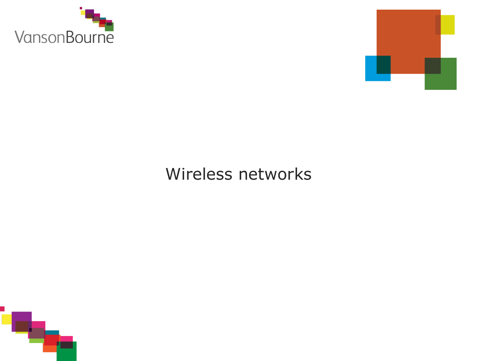



## Wireless networks

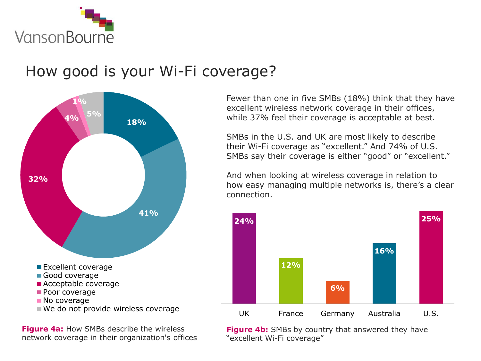

#### How good is your Wi-Fi coverage?



**Figure 4a:** How SMBs describe the wireless network coverage in their organization's offices Fewer than one in five SMBs (18%) think that they have excellent wireless network coverage in their offices, while 37% feel their coverage is acceptable at best.

SMBs in the U.S. and UK are most likely to describe their Wi-Fi coverage as "excellent." And 74% of U.S. SMBs say their coverage is either "good" or "excellent."

And when looking at wireless coverage in relation to how easy managing multiple networks is, there's a clear connection.



**Figure 4b:** SMBs by country that answered they have "excellent Wi-Fi coverage"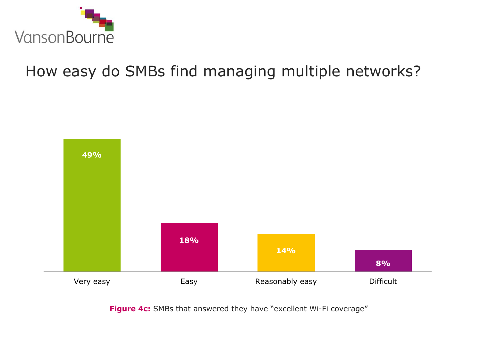

How easy do SMBs find managing multiple networks?



Figure 4c: SMBs that answered they have "excellent Wi-Fi coverage"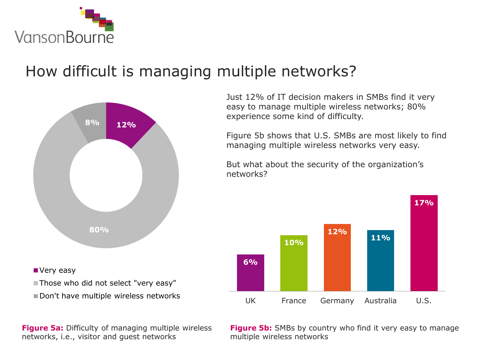

#### How difficult is managing multiple networks?



Don't have multiple wireless networks

**Figure 5a:** Difficulty of managing multiple wireless networks, i.e., visitor and guest networks

Just 12% of IT decision makers in SMBs find it very easy to manage multiple wireless networks; 80% experience some kind of difficulty.

Figure 5b shows that U.S. SMBs are most likely to find managing multiple wireless networks very easy.

But what about the security of the organization's networks?



**Figure 5b:** SMBs by country who find it very easy to manage multiple wireless networks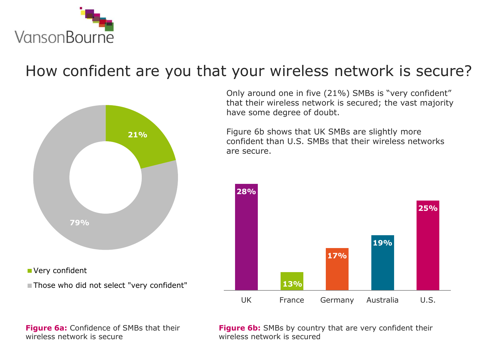

## How confident are you that your wireless network is secure?



Only around one in five (21%) SMBs is "very confident" that their wireless network is secured; the vast majority have some degree of doubt.

Figure 6b shows that UK SMBs are slightly more confident than U.S. SMBs that their wireless networks are secure.



**Figure 6a:** Confidence of SMBs that their wireless network is secure

**Figure 6b:** SMBs by country that are very confident their wireless network is secured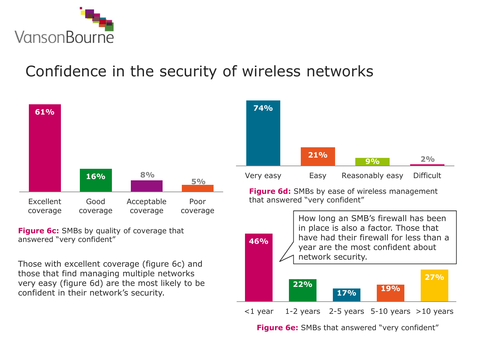

## Confidence in the security of wireless networks



**Figure 6c:** SMBs by quality of coverage that answered "very confident"

Those with excellent coverage (figure 6c) and those that find managing multiple networks very easy (figure 6d) are the most likely to be confident in their network's security.



**Figure 6d:** SMBs by ease of wireless management that answered "very confident"



 $<$ 1 year 1-2 years 2-5 years 5-10 years >10 years

**Figure 6e:** SMBs that answered "very confident"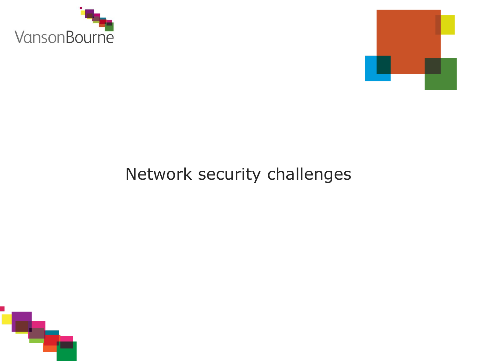



# Network security challenges

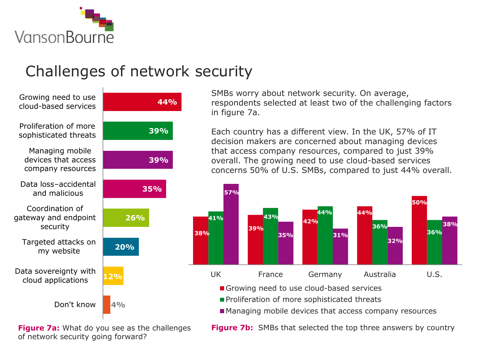

#### Challenges of network security



SMBs worry about network security. On average, respondents selected at least two of the challenging factors in figure 7a.

Each country has a different view. In the UK, 57% of IT decision makers are concerned about managing devices that access company resources, compared to just 39% overall. The growing need to use cloud-based services concerns 50% of U.S. SMBs, compared to just 44% overall.



**Figure 7a:** What do you see as the challenges of network security going forward?

**Figure 7b:** SMBs that selected the top three answers by country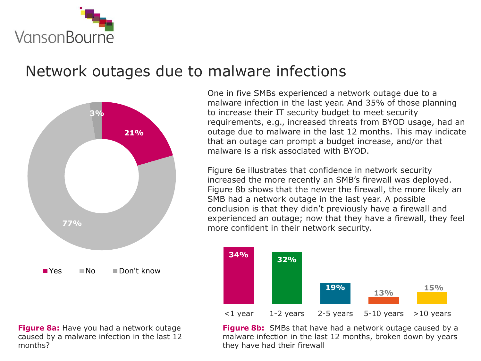

#### Network outages due to malware infections



One in five SMBs experienced a network outage due to a malware infection in the last year. And 35% of those planning to increase their IT security budget to meet security requirements, e.g., increased threats from BYOD usage, had an outage due to malware in the last 12 months. This may indicate that an outage can prompt a budget increase, and/or that malware is a risk associated with BYOD.

Figure 6e illustrates that confidence in network security increased the more recently an SMB's firewall was deployed. Figure 8b shows that the newer the firewall, the more likely an SMB had a network outage in the last year. A possible conclusion is that they didn't previously have a firewall and experienced an outage; now that they have a firewall, they feel more confident in their network security.



**Figure 8a:** Have you had a network outage caused by a malware infection in the last 12 months?

**Figure 8b:** SMBs that have had a network outage caused by a malware infection in the last 12 months, broken down by years they have had their firewall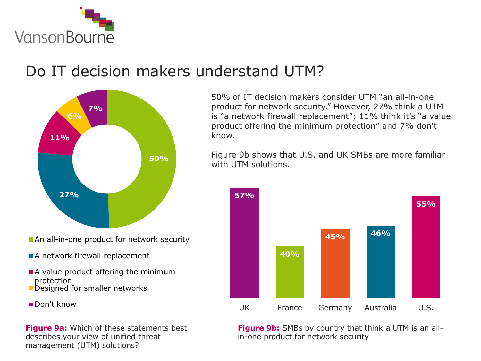

## Do IT decision makers understand UTM?



- An all-in-one product for network security
- A network firewall replacement
- A value product offering the minimum protection Designed for smaller networks

#### Don't know

**Figure 9a:** Which of these statements best describes your view of unified threat management (UTM) solutions?

50% of IT decision makers consider UTM "an all-in-one product for network security." However, 27% think a UTM is "a network firewall replacement"; 11% think it's "a value product offering the minimum protection" and 7% don't know.

Figure 9b shows that U.S. and UK SMBs are more familiar with UTM solutions.



**Figure 9b:** SMBs by country that think a UTM is an allin-one product for network security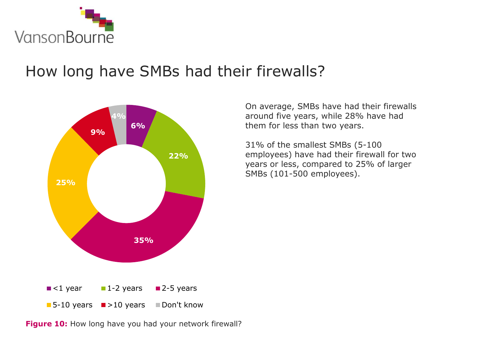

#### How long have SMBs had their firewalls?



On average, SMBs have had their firewalls around five years, while 28% have had them for less than two years.

31% of the smallest SMBs (5-100 employees) have had their firewall for two years or less, compared to 25% of larger SMBs (101-500 employees).

**Figure 10:** How long have you had your network firewall?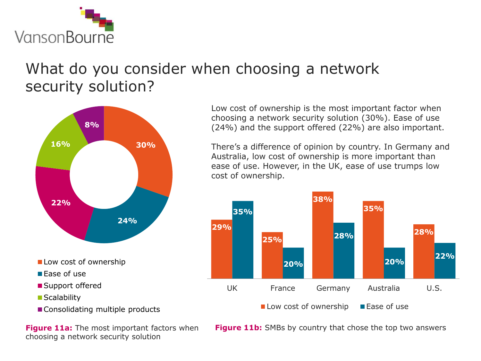

#### What do you consider when choosing a network security solution?



Low cost of ownership is the most important factor when choosing a network security solution (30%). Ease of use (24%) and the support offered (22%) are also important.

There's a difference of opinion by country. In Germany and Australia, low cost of ownership is more important than ease of use. However, in the UK, ease of use trumps low cost of ownership.



**Figure 11a:** The most important factors when choosing a network security solution

**Figure 11b:** SMBs by country that chose the top two answers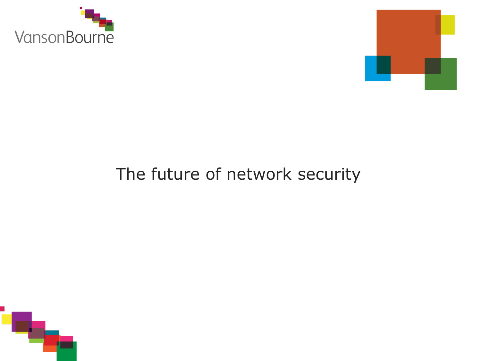



# The future of network security

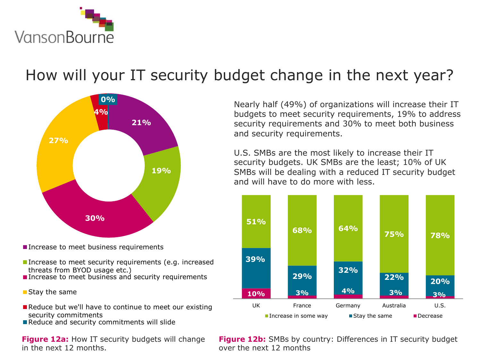

How will your IT security budget change in the next year?



Increase to meet business requirements

- Increase to meet security requirements (e.g. increased threats from BYOD usage etc.)
- Increase to meet business and security requirements
- **Stay the same**
- Reduce but we'll have to continue to meet our existing security commitments
- Reduce and security commitments will slide

**Figure 12a:** How IT security budgets will change in the next 12 months.

Nearly half (49%) of organizations will increase their IT budgets to meet security requirements, 19% to address security requirements and 30% to meet both business and security requirements.

U.S. SMBs are the most likely to increase their IT security budgets. UK SMBs are the least; 10% of UK SMBs will be dealing with a reduced IT security budget and will have to do more with less.



**Figure 12b:** SMBs by country: Differences in IT security budget over the next 12 months